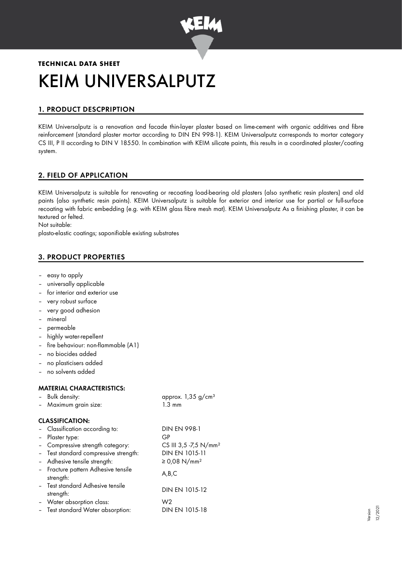

# **TECHNICAL DATA SHEET** KEIM UNIVERSALPUTZ

# 1. PRODUCT DESCPRIPTION

KEIM Universalputz is a renovation and facade thin-layer plaster based on lime-cement with organic additives and fibre reinforcement (standard plaster mortar according to DIN EN 998-1). KEIM Universalputz corresponds to mortar category CS III, P II according to DIN V 18550. In combination with KEIM silicate paints, this results in a coordinated plaster/coating system.

# 2. FIELD OF APPLICATION

KEIM Universalputz is suitable for renovating or recoating load-bearing old plasters (also synthetic resin plasters) and old paints (also synthetic resin paints). KEIM Universalputz is suitable for exterior and interior use for partial or full-surface recoating with fabric embedding (e.g. with KEIM glass fibre mesh mat). KEIM Universalputz As a finishing plaster, it can be textured or felted.

Not suitable:

plasto-elastic coatings; saponifiable existing substrates

# 3. PRODUCT PROPERTIES

- easy to apply
- universally applicable
- for interior and exterior use
- very robust surface
- very good adhesion
- mineral
- permeable
- highly water-repellent
- fire behaviour: non-flammable (A1)
- no biocides added
- no plasticisers added
- no solvents added

## MATERIAL CHARACTERISTICS:

| - Bulk density: |                       | approx. $1,35$ g/cm <sup>3</sup> |  |
|-----------------|-----------------------|----------------------------------|--|
|                 | - Maximum grain size: | $1.3 \text{ mm}$                 |  |

|  | ווווו ט.ו |  |
|--|-----------|--|
|  |           |  |
|  |           |  |

## CLASSIFICATION:

| - Classification according to:                   | <b>DIN EN 998-1</b>               |
|--------------------------------------------------|-----------------------------------|
| - Plaster type:                                  | GP                                |
| - Compressive strength category:                 | CS III 3,5 -7,5 N/mm <sup>2</sup> |
| - Test standard compressive strength:            | DIN EN 1015-11                    |
| - Adhesive tensile strength:                     | ≥ 0,08 N/mm <sup>2</sup>          |
| - Fracture pattern Adhesive tensile<br>strength: | A,B,C                             |
| - Test standard Adhesive tensile<br>strength:    | DIN EN 1015-12                    |
| - Water absorption class:                        | W2                                |
| - Test standard Water absorption:                | DIN EN 1015-18                    |
|                                                  |                                   |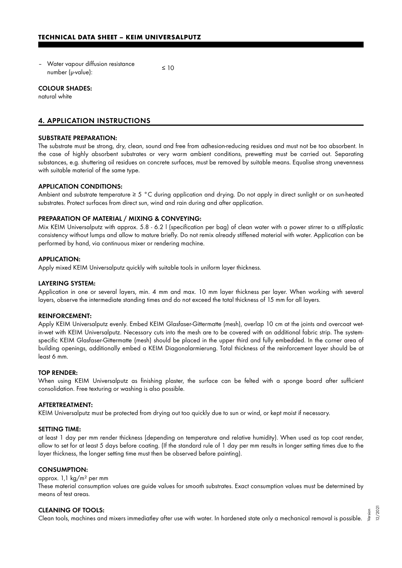– Water vapour diffusion resistance  $\frac{1}{2}$  number ( $\mu$ -value):  $\leq 10$ 

#### COLOUR SHADES:

natural white

## 4. APPLICATION INSTRUCTIONS

#### SUBSTRATE PREPARATION:

The substrate must be strong, dry, clean, sound and free from adhesion-reducing residues and must not be too absorbent. In the case of highly absorbent substrates or very warm ambient conditions, prewetting must be carried out. Separating substances, e.g. shuttering oil residues on concrete surfaces, must be removed by suitable means. Equalise strong unevenness with suitable material of the same type.

#### APPLICATION CONDITIONS:

Ambient and substrate temperature ≥ 5 °C during application and drying. Do not apply in direct sunlight or on sun-heated substrates. Protect surfaces from direct sun, wind and rain during and after application.

#### PREPARATION OF MATERIAL / MIXING & CONVEYING:

Mix KEIM Universalputz with approx. 5.8 - 6.2 l (specification per bag) of clean water with a power stirrer to a stiff-plastic consistency without lumps and allow to mature briefly. Do not remix already stiffened material with water. Application can be performed by hand, via continuous mixer or rendering machine.

#### APPLICATION:

Apply mixed KEIM Universalputz quickly with suitable tools in uniform layer thickness.

#### LAYERING SYSTEM:

Application in one or several layers, min. 4 mm and max. 10 mm layer thickness per layer. When working with several layers, observe the intermediate standing times and do not exceed the total thickness of 15 mm for all layers.

#### REINFORCEMENT:

Apply KEIM Universalputz evenly. Embed KEIM Glasfaser-Gittermatte (mesh), overlap 10 cm at the joints and overcoat wetin-wet with KEIM Universalputz. Necessary cuts into the mesh are to be covered with an additional fabric strip. The systemspecific KEIM Glasfaser-Gittermatte (mesh) should be placed in the upper third and fully embedded. In the corner area of building openings, additionally embed a KEIM Diagonalarmierung. Total thickness of the reinforcement layer should be at least 6 mm.

#### TOP RENDER:

When using KEIM Universalputz as finishing plaster, the surface can be felted with a sponge board after sufficient consolidation. Free texturing or washing is also possible.

#### AFTERTREATMENT:

KEIM Universalputz must be protected from drying out too quickly due to sun or wind, or kept moist if necessary.

#### SETTING TIME:

at least 1 day per mm render thickness (depending on temperature and relative humidity). When used as top coat render, allow to set for at least 5 days before coating. (If the standard rule of 1 day per mm results in longer setting times due to the layer thickness, the longer setting time must then be observed before painting).

#### CONSUMPTION:

### approx. 1,1 kg/m² per mm

These material consumption values are guide values for smooth substrates. Exact consumption values must be determined by means of test areas.

#### CLEANING OF TOOLS:

Clean tools, machines and mixers immediatley after use with water. In hardened state only a mechanical removal is possible. Version